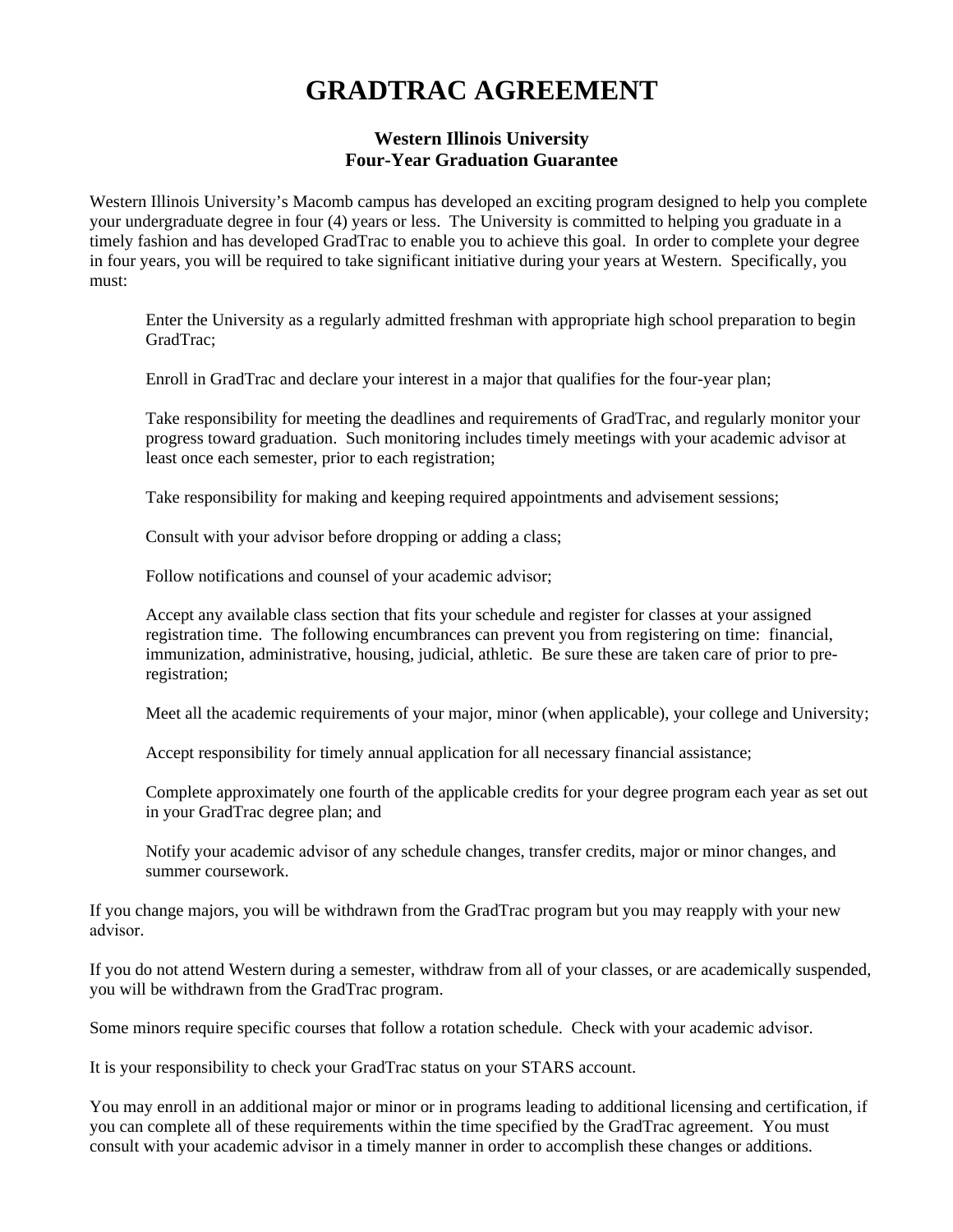## **GRADTRAC AGREEMENT**

## **Western Illinois University Four-Year Graduation Guarantee**

Western Illinois University's Macomb campus has developed an exciting program designed to help you complete your undergraduate degree in four (4) years or less. The University is committed to helping you graduate in a timely fashion and has developed GradTrac to enable you to achieve this goal. In order to complete your degree in four years, you will be required to take significant initiative during your years at Western. Specifically, you must:

Enter the University as a regularly admitted freshman with appropriate high school preparation to begin GradTrac;

Enroll in GradTrac and declare your interest in a major that qualifies for the four-year plan;

Take responsibility for meeting the deadlines and requirements of GradTrac, and regularly monitor your progress toward graduation. Such monitoring includes timely meetings with your academic advisor at least once each semester, prior to each registration;

Take responsibility for making and keeping required appointments and advisement sessions;

Consult with your advisor before dropping or adding a class;

Follow notifications and counsel of your academic advisor;

Accept any available class section that fits your schedule and register for classes at your assigned registration time. The following encumbrances can prevent you from registering on time: financial, immunization, administrative, housing, judicial, athletic. Be sure these are taken care of prior to preregistration;

Meet all the academic requirements of your major, minor (when applicable), your college and University;

Accept responsibility for timely annual application for all necessary financial assistance;

Complete approximately one fourth of the applicable credits for your degree program each year as set out in your GradTrac degree plan; and

Notify your academic advisor of any schedule changes, transfer credits, major or minor changes, and summer coursework.

If you change majors, you will be withdrawn from the GradTrac program but you may reapply with your new advisor.

If you do not attend Western during a semester, withdraw from all of your classes, or are academically suspended, you will be withdrawn from the GradTrac program.

Some minors require specific courses that follow a rotation schedule. Check with your academic advisor.

It is your responsibility to check your GradTrac status on your STARS account.

You may enroll in an additional major or minor or in programs leading to additional licensing and certification, if you can complete all of these requirements within the time specified by the GradTrac agreement. You must consult with your academic advisor in a timely manner in order to accomplish these changes or additions.